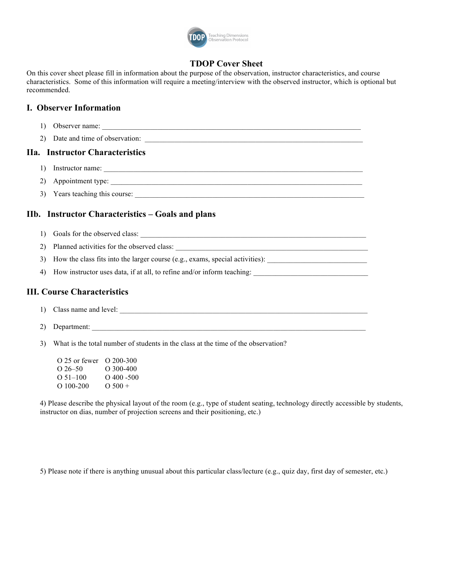

# **TDOP Cover Sheet**

On this cover sheet please fill in information about the purpose of the observation, instructor characteristics, and course characteristics. Some of this information will require a meeting/interview with the observed instructor, which is optional but recommended.

# **I. Observer Information**

- 1) Observer name: \_\_\_\_\_\_\_\_\_\_\_\_\_\_\_\_\_\_\_\_\_\_\_\_\_\_\_\_\_\_\_\_\_\_\_\_\_\_\_\_\_\_\_\_\_\_\_\_\_\_\_\_\_\_\_\_\_\_\_\_\_\_\_\_\_\_\_\_\_\_
- 2) Date and time of observation:

# **IIa. Instructor Characteristics**

- 1) Instructor name:
- 2) Appointment type:
- 3) Years teaching this course: \_\_\_\_\_\_\_\_\_\_\_\_\_\_\_\_\_\_\_\_\_\_\_\_\_\_\_\_\_\_\_\_\_\_\_\_\_\_\_\_\_\_\_\_\_\_\_\_\_\_\_\_\_\_\_\_\_\_\_\_\_\_

# **IIb. Instructor Characteristics – Goals and plans**

- 1) Goals for the observed class: \_\_\_\_\_\_\_\_\_\_\_\_\_\_\_\_\_\_\_\_\_\_\_\_\_\_\_\_\_\_\_\_\_\_\_\_\_\_\_\_\_\_\_\_\_\_\_\_\_\_\_\_\_\_\_\_\_\_\_\_\_
- 2) Planned activities for the observed class:
- 3) How the class fits into the larger course (e.g., exams, special activities): \_\_\_\_\_\_\_\_\_\_\_\_\_\_\_\_\_\_\_\_\_\_\_\_\_\_\_
- 4) How instructor uses data, if at all, to refine and/or inform teaching:

## **III. Course Characteristics**

- 1) Class name and level:
- 2) Department: \_\_\_\_\_\_\_\_\_\_\_\_\_\_\_\_\_\_\_\_\_\_\_\_\_\_\_\_\_\_\_\_\_\_\_\_\_\_\_\_\_\_\_\_\_\_\_\_\_\_\_\_\_\_\_\_\_\_\_\_\_\_\_\_\_\_\_\_\_\_\_\_\_\_
- 3) What is the total number of students in the class at the time of the observation?
	- O 25 or fewer O 200-300 O 26–50 O 300-400 O  $51-100$  O  $400-500$ <br>O  $100-200$  O  $500+$ O  $100-200$  O  $500 +$

4) Please describe the physical layout of the room (e.g., type of student seating, technology directly accessible by students, instructor on dias, number of projection screens and their positioning, etc.)

5) Please note if there is anything unusual about this particular class/lecture (e.g., quiz day, first day of semester, etc.)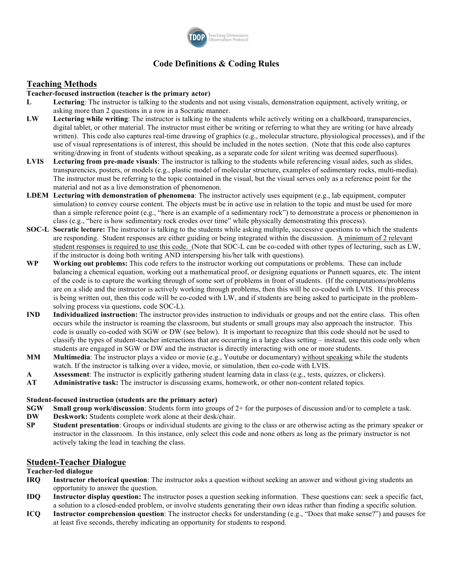

# **Code Definitions & Coding Rules**

# **Teaching Methods**

#### **Teacher-focused instruction (teacher is the primary actor)**

- **L Lecturing**: The instructor is talking to the students and not using visuals, demonstration equipment, actively writing, or asking more than 2 questions in a row in a Socratic manner.
- **LW Lecturing while writing**: The instructor is talking to the students while actively writing on a chalkboard, transparencies, digital tablet, or other material. The instructor must either be writing or referring to what they are writing (or have already written). This code also captures real-time drawing of graphics (e.g., molecular structure, physiological processes), and if the use of visual representations is of interest, this should be included in the notes section. (Note that this code also captures writing/drawing in front of students without speaking, as a separate code for silent writing was deemed superfluous).
- **LVIS Lecturing from pre-made visuals**: The instructor is talking to the students while referencing visual aides, such as slides, transparencies, posters, or models (e.g., plastic model of molecular structure, examples of sedimentary rocks, multi-media). The instructor must be referring to the topic contained in the visual, but the visual serves only as a reference point for the material and not as a live demonstration of phenomenon.
- **LDEM Lecturing with demonstration of phenomena**: The instructor actively uses equipment (e.g., lab equipment, computer simulation) to convey course content. The objects must be in active use in relation to the topic and must be used for more than a simple reference point (e.g., "here is an example of a sedimentary rock") to demonstrate a process or phenomenon in class (e.g., "here is how sedimentary rock erodes over time" while physically demonstrating this process).
- **SOC-L Socratic lecture:** The instructor is talking to the students while asking multiple, successive questions to which the students are responding. Student responses are either guiding or being integrated within the discussion. A minimum of 2 relevant student responses is required to use this code. (Note that SOC-L can be co-coded with other types of lecturing, such as LW, if the instructor is doing both writing AND interspersing his/her talk with questions).
- **WP Working out problems:** This code refers to the instructor working out computations or problems. These can include balancing a chemical equation, working out a mathematical proof, or designing equations or Punnett squares, etc. The intent of the code is to capture the working through of some sort of problems in front of students. (If the computations/problems are on a slide and the instructor is actively working through problems, then this will be co-coded with LVIS. If this process is being written out, then this code will be co-coded with LW, and if students are being asked to participate in the problemsolving process via questions, code SOC-L).
- **IND Individualized instruction:** The instructor provides instruction to individuals or groups and not the entire class. This often occurs while the instructor is roaming the classroom, but students or small groups may also approach the instructor. This code is usually co-coded with SGW or DW (see below). It is important to recognize that this code should not be used to classify the types of student-teacher interactions that are occurring in a large class setting – instead, use this code only when students are engaged in SGW or DW and the instructor is directly interacting with one or more students.
- **MM Multimedia**: The instructor plays a video or movie (e.g., Youtube or documentary) without speaking while the students watch. If the instructor is talking over a video, movie, or simulation, then co-code with LVIS.
- **A Assessment**: The instructor is explicitly gathering student learning data in class (e.g., tests, quizzes, or clickers).
- **AT Administrative task:** The instructor is discussing exams, homework, or other non-content related topics.

#### **Student-focused instruction (students are the primary actor)**

- **SGW Small group work/discussion**: Students form into groups of 2+ for the purposes of discussion and/or to complete a task.
- **DW Deskwork:** Students complete work alone at their desk/chair.
- **SP** Student presentation: Groups or individual students are giving to the class or are otherwise acting as the primary speaker or instructor in the classroom. In this instance, only select this code and none others as long as the primary instructor is not actively taking the lead in teaching the class.

#### **Student-Teacher Dialogue**

#### **Teacher-led dialogue**

- **IRQ Instructor rhetorical question**: The instructor asks a question without seeking an answer and without giving students an opportunity to answer the question.
- **IDQ Instructor display question:** The instructor poses a question seeking information. These questions can: seek a specific fact, a solution to a closed-ended problem, or involve students generating their own ideas rather than finding a specific solution.
- **ICQ Instructor comprehension question**: The instructor checks for understanding (e.g., "Does that make sense?") and pauses for at least five seconds, thereby indicating an opportunity for students to respond.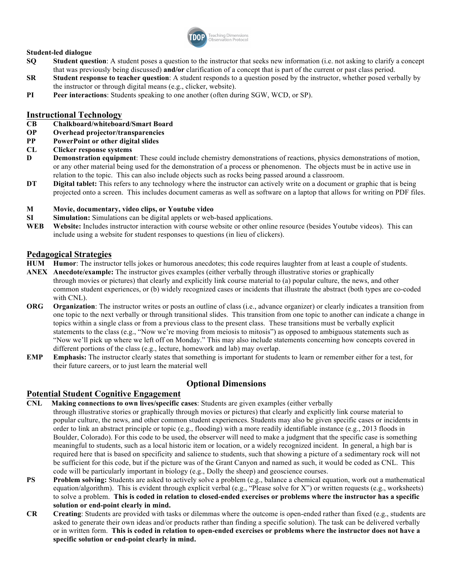

### **Student-led dialogue**

- **SQ Student question**: A student poses a question to the instructor that seeks new information (i.e. not asking to clarify a concept that was previously being discussed) **and/or** clarification of a concept that is part of the current or past class period.
- **SR Student response to teacher question**: A student responds to a question posed by the instructor, whether posed verbally by the instructor or through digital means (e.g., clicker, website).
- **PI Peer interactions**: Students speaking to one another (often during SGW, WCD, or SP).

### **Instructional Technology**

- **CB Chalkboard/whiteboard/Smart Board**
- **OP Overhead projector/transparencies**
- **PP PowerPoint or other digital slides**
- **CL Clicker response systems**
- **D Demonstration equipment**: These could include chemistry demonstrations of reactions, physics demonstrations of motion, or any other material being used for the demonstration of a process or phenomenon. The objects must be in active use in relation to the topic. This can also include objects such as rocks being passed around a classroom.
- **DT Digital tablet:** This refers to any technology where the instructor can actively write on a document or graphic that is being projected onto a screen. This includes document cameras as well as software on a laptop that allows for writing on PDF files.

#### **M Movie, documentary, video clips, or Youtube video**

- **SI Simulation:** Simulations can be digital applets or web-based applications.
- **WEB Website:** Includes instructor interaction with course website or other online resource (besides Youtube videos). This can include using a website for student responses to questions (in lieu of clickers).

### **Pedagogical Strategies**

- **HUM Humor**: The instructor tells jokes or humorous anecdotes; this code requires laughter from at least a couple of students.
- **ANEX Anecdote/example:** The instructor gives examples (either verbally through illustrative stories or graphically through movies or pictures) that clearly and explicitly link course material to (a) popular culture, the news, and other common student experiences, or (b) widely recognized cases or incidents that illustrate the abstract (both types are co-coded with CNL).
- **ORG Organization**: The instructor writes or posts an outline of class (i.e., advance organizer) or clearly indicates a transition from one topic to the next verbally or through transitional slides. This transition from one topic to another can indicate a change in topics within a single class or from a previous class to the present class. These transitions must be verbally explicit statements to the class (e.g., "Now we're moving from meiosis to mitosis") as opposed to ambiguous statements such as "Now we'll pick up where we left off on Monday." This may also include statements concerning how concepts covered in different portions of the class (e.g., lecture, homework and lab) may overlap.
- **EMP Emphasis:** The instructor clearly states that something is important for students to learn or remember either for a test, for their future careers, or to just learn the material well

### **Optional Dimensions**

### **Potential Student Cognitive Engagement**

- **CNL Making connections to own lives/specific cases**: Students are given examples (either verbally
- through illustrative stories or graphically through movies or pictures) that clearly and explicitly link course material to popular culture, the news, and other common student experiences. Students may also be given specific cases or incidents in order to link an abstract principle or topic (e.g., flooding) with a more readily identifiable instance (e.g., 2013 floods in Boulder, Colorado). For this code to be used, the observer will need to make a judgment that the specific case is something meaningful to students, such as a local historic item or location, or a widely recognized incident. In general, a high bar is required here that is based on specificity and salience to students, such that showing a picture of a sedimentary rock will not be sufficient for this code, but if the picture was of the Grant Canyon and named as such, it would be coded as CNL. This code will be particularly important in biology (e.g., Dolly the sheep) and geoscience courses.
- **PS Problem solving:** Students are asked to actively solve a problem (e.g., balance a chemical equation, work out a mathematical equation/algorithm). This is evident through explicit verbal (e.g., "Please solve for X") or written requests (e.g., worksheets) to solve a problem. **This is coded in relation to closed-ended exercises or problems where the instructor has a specific solution or end-point clearly in mind.**
- **CR Creating**: Students are provided with tasks or dilemmas where the outcome is open-ended rather than fixed (e.g., students are asked to generate their own ideas and/or products rather than finding a specific solution). The task can be delivered verbally or in written form. **This is coded in relation to open-ended exercises or problems where the instructor does not have a specific solution or end-point clearly in mind.**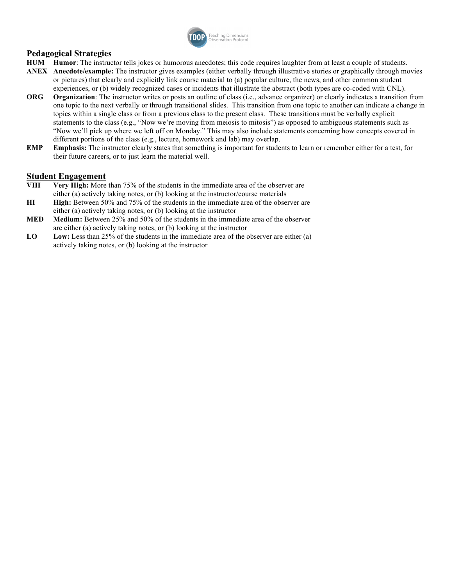

## **Pedagogical Strategies**

- **HUM Humor**: The instructor tells jokes or humorous anecdotes; this code requires laughter from at least a couple of students.
- **ANEX Anecdote/example:** The instructor gives examples (either verbally through illustrative stories or graphically through movies or pictures) that clearly and explicitly link course material to (a) popular culture, the news, and other common student experiences, or (b) widely recognized cases or incidents that illustrate the abstract (both types are co-coded with CNL).
- **ORG Organization**: The instructor writes or posts an outline of class (i.e., advance organizer) or clearly indicates a transition from one topic to the next verbally or through transitional slides. This transition from one topic to another can indicate a change in topics within a single class or from a previous class to the present class. These transitions must be verbally explicit statements to the class (e.g., "Now we're moving from meiosis to mitosis") as opposed to ambiguous statements such as "Now we'll pick up where we left off on Monday." This may also include statements concerning how concepts covered in different portions of the class (e.g., lecture, homework and lab) may overlap.
- **EMP Emphasis:** The instructor clearly states that something is important for students to learn or remember either for a test, for their future careers, or to just learn the material well.

### **Student Engagement**

- **VHI Very High:** More than 75% of the students in the immediate area of the observer are either (a) actively taking notes, or (b) looking at the instructor/course materials
- **HI High:** Between 50% and 75% of the students in the immediate area of the observer are either (a) actively taking notes, or (b) looking at the instructor
- **MED Medium:** Between 25% and 50% of the students in the immediate area of the observer are either (a) actively taking notes, or (b) looking at the instructor
- **LO Low:** Less than 25% of the students in the immediate area of the observer are either (a) actively taking notes, or (b) looking at the instructor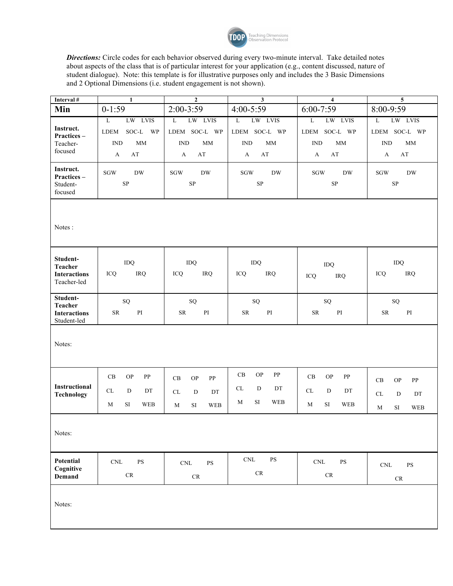

*Directions:* Circle codes for each behavior observed during every two-minute interval. Take detailed notes about aspects of the class that is of particular interest for your application (e.g., content discussed, nature of student dialogue). Note: this template is for illustrative purposes only and includes the 3 Basic Dimensions and 2 Optional Dimensions (i.e. student engagement is not shown).

| Interval #                                                       | $\mathbf{1}$                                                                        | $\mathbf{2}$                                                                  | $\mathbf{3}$                                                                  | $\overline{4}$                                                                                | $\overline{\mathbf{5}}$                                                                                   |
|------------------------------------------------------------------|-------------------------------------------------------------------------------------|-------------------------------------------------------------------------------|-------------------------------------------------------------------------------|-----------------------------------------------------------------------------------------------|-----------------------------------------------------------------------------------------------------------|
| Min                                                              | $0-1:59$                                                                            | 2:00-3:59                                                                     | 4:00-5:59                                                                     | $6:00 - 7:59$                                                                                 | 8:00-9:59                                                                                                 |
| Instruct.<br>Practices-<br>Teacher-<br>focused                   | LW LVIS<br>$\mathbf L$<br>SOC-L<br>WP<br>LDEM<br><b>IND</b><br><b>MM</b><br>AT<br>A | $\mathbf L$<br>LW LVIS<br>LDEM SOC-L WP<br><b>IND</b><br><b>MM</b><br>AT<br>A | LW LVIS<br>L<br>LDEM SOC-L WP<br>$\mathop{\rm IND}\nolimits$<br>MM<br>AT<br>A | $\overline{\mathbf{L}}$<br>LW LVIS<br>LDEM SOC-L WP<br>$\mathbf{IND}$<br><b>MM</b><br>AT<br>A | LW LVIS<br>$\mathbf{L}$<br>LDEM SOC-L WP<br>$\mathbb{IND}$<br>$\mbox{MM}$<br>$\mathbf{A} \mathbf{T}$<br>A |
| Instruct.<br>Practices-<br>Student-<br>focused                   | $\rm SGW$<br><b>DW</b><br>$\rm SP$                                                  | $\rm SGW$<br><b>DW</b><br>$\rm SP$                                            | $\rm SGW$<br><b>DW</b><br>$\rm SP$                                            | <b>SGW</b><br><b>DW</b><br>$\rm SP$                                                           | $\rm SGW$<br><b>DW</b><br>$\rm SP$                                                                        |
| Notes:                                                           |                                                                                     |                                                                               |                                                                               |                                                                                               |                                                                                                           |
| Student-<br><b>Teacher</b><br><b>Interactions</b><br>Teacher-led | IDQ<br>ICQ<br><b>IRQ</b>                                                            | IDQ<br>ICQ<br><b>IRQ</b>                                                      | IDQ<br><b>IRQ</b><br>ICQ                                                      | IDQ<br>ICQ<br><b>IRQ</b>                                                                      | IDQ<br>ICQ<br><b>IRQ</b>                                                                                  |
| Student-<br>Teacher<br><b>Interactions</b><br>Student-led        | SQ<br>${\rm SR}$<br>$\mathbf{P}\mathbf{I}$                                          | SQ<br>${\rm SR}$<br>$\mathbf{P}\mathbf{I}$                                    | SQ<br>${\rm SR}$<br>$\mathbf{P}\mathbf{I}$                                    | SQ<br>${\rm SR}$<br>$\mathbf{P}\mathbf{I}$                                                    | SQ<br>${\rm SR}$<br>$\mathbf{P}\mathbf{I}$                                                                |
| Notes:                                                           |                                                                                     |                                                                               |                                                                               |                                                                                               |                                                                                                           |
| Instructional<br><b>Technology</b>                               | CB<br><b>OP</b><br>PP<br>CL<br>D<br>DT<br>SI<br>M<br>WEB                            | CB<br><b>OP</b><br>PP<br>CL<br>D<br>DT<br>SI<br><b>WEB</b><br>M               | CB<br>$\mathbf{OP}$<br>PP<br>CL<br>${\rm D}$<br>DT<br>SI<br><b>WEB</b><br>M   | CB<br><b>OP</b><br>PP<br>${\rm CL}$<br>D<br>DT<br>SI<br><b>WEB</b><br>M                       | CB<br>${\bf PP}$<br><b>OP</b><br>$\ensuremath{\textup{CL}}\xspace$<br>D<br>DT<br>SI<br><b>WEB</b><br>M    |
| Notes:                                                           |                                                                                     |                                                                               |                                                                               |                                                                                               |                                                                                                           |
| Potential<br>Cognitive<br><b>Demand</b>                          | $\mathop{\rm CNL}\nolimits$<br><b>PS</b><br>$\mathrm{CR}$                           | $\mathop{\rm CNL}\nolimits$<br>$\mathbf{P}\mathbf{S}$<br>$\mathrm{CR}$        | $\mathop{\rm CNL}\nolimits$<br>$\mathbf{P}\mathbf{S}$<br>$\mathsf{CR}$        | $\mathop{\rm CNL}\nolimits$<br>$\mathbf{PS}$<br>$\ensuremath{\mathsf{CR}}$                    | $\mathbf{P}\mathbf{S}$<br>$\mathop{\rm CNL}\nolimits$<br>$\mathsf{CR}$                                    |
| Notes:                                                           |                                                                                     |                                                                               |                                                                               |                                                                                               |                                                                                                           |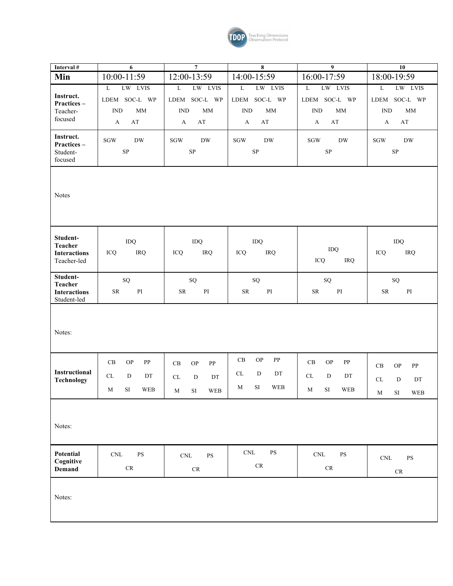

| Interval #                                                | 6                                                                                                            | $\overline{7}$                                                                                                        | 8                                                                                                                    | 9                                                                                                                     | $\overline{10}$                                                                                                       |
|-----------------------------------------------------------|--------------------------------------------------------------------------------------------------------------|-----------------------------------------------------------------------------------------------------------------------|----------------------------------------------------------------------------------------------------------------------|-----------------------------------------------------------------------------------------------------------------------|-----------------------------------------------------------------------------------------------------------------------|
| Min                                                       | 10:00-11:59                                                                                                  | 12:00-13:59                                                                                                           | 14:00-15:59                                                                                                          | 16:00-17:59                                                                                                           | 18:00-19:59                                                                                                           |
| Instruct.<br>Practices-<br>Teacher-<br>focused            | LW LVIS<br>$\mathbf{L}$<br>LDEM SOC-L WP<br>$\mathop{\rm IND}\nolimits$<br>MM<br>$\mathbf{A}\mathbf{T}$<br>A | LW LVIS<br>$\overline{\mathbf{L}}$<br>LDEM SOC-L WP<br><b>IND</b><br>$\mathop{\rm MM}$<br>$\mathbf{A}\mathbf{T}$<br>A | LW LVIS<br>$\mathbf L$<br>LDEM SOC-L WP<br><b>IND</b><br>$\mathop{\rm MM}$<br>$\mathbf{A}\mathbf{T}$<br>$\mathbf{A}$ | LW LVIS<br>$\overline{\mathbf{L}}$<br>LDEM SOC-L WP<br><b>IND</b><br>$\mathop{\rm MM}$<br>$\mathbf{A}\mathbf{T}$<br>A | LW LVIS<br>$\overline{\mathbf{L}}$<br>LDEM SOC-L WP<br><b>IND</b><br>$\mathop{\rm MM}$<br>$\mathbf{A}\mathbf{T}$<br>A |
| Instruct.<br>Practices-<br>Student-<br>focused            | $\rm SGW$<br><b>DW</b><br>${\rm SP}$                                                                         | $\rm SGW$<br><b>DW</b><br>${\rm SP}$                                                                                  | <b>SGW</b><br><b>DW</b><br>${\rm SP}$                                                                                | $\rm SGW$<br><b>DW</b><br>${\rm SP}$                                                                                  | $\rm SGW$<br>${\rm DW}$<br>${\rm SP}$                                                                                 |
| Notes                                                     |                                                                                                              |                                                                                                                       |                                                                                                                      |                                                                                                                       |                                                                                                                       |
| Student-<br>Teacher<br><b>Interactions</b><br>Teacher-led | IDQ<br>ICQ<br>IRQ                                                                                            | IDQ<br>ICQ<br><b>IRQ</b>                                                                                              | IDQ<br>ICQ<br><b>IRQ</b>                                                                                             | IDQ<br>ICQ<br><b>IRQ</b>                                                                                              | IDQ<br>IRQ<br>ICQ                                                                                                     |
| Student-<br>Teacher<br><b>Interactions</b><br>Student-led | ${\rm SQ}$<br>$\mathop{\rm PI}\nolimits$<br><b>SR</b>                                                        | ${\bf SQ}$<br>${\rm SR}$<br>$\mathop{\rm PI}\nolimits$                                                                | ${\bf SQ}$<br>$\mathbf{P}\mathbf{I}$<br>${\rm SR}$                                                                   | ${\rm SQ}$<br>${\rm SR}$<br>$\mathbf{P}\mathbf{I}$                                                                    | ${\rm SQ}$<br>${\rm SR}$<br>$\mathop{\rm PI}\nolimits$                                                                |
| Notes:                                                    |                                                                                                              |                                                                                                                       |                                                                                                                      |                                                                                                                       |                                                                                                                       |
| Instructional<br><b>Technology</b>                        | $\operatorname{CB}$<br><b>OP</b><br>${\rm PP}$<br>${\rm CL}$<br>${\bf D}$<br>DT<br>$\rm SI$<br>WEB<br>M      | $\operatorname{CB}$<br><b>OP</b><br>${\bf PP}$<br>CL<br>${\bf D}$<br>DT<br>WEB<br>SI<br>$\mathbf M$                   | $\rm CB$<br>$\mathbf{OP}$<br>${\bf PP}$<br>CL<br>$\mathbf D$<br>DT<br>$\mathbf M$<br>SI<br><b>WEB</b>                | $\operatorname{CB}$<br>$\mathbf{OP}$<br>${\bf PP}$<br>CL<br>D<br>DT<br>$\rm SI$<br>WEB<br>M                           | CB<br><b>OP</b><br>${\bf PP}$<br>${\rm D}$<br>CL<br>DT<br>$M$ SI<br>WEB                                               |
| Notes:                                                    |                                                                                                              |                                                                                                                       |                                                                                                                      |                                                                                                                       |                                                                                                                       |
| Potential<br>Cognitive<br><b>Demand</b>                   | $\mathop{\rm CNL}\nolimits$<br>$\mathbf{P}\mathbf{S}$<br>CR                                                  | $\mathop{\rm CNL}\nolimits$<br>$\mathbf{PS}$<br>$\ensuremath{\mathsf{CR}}$                                            | $\ensuremath{\mathrm{CNL}}$<br>PS<br>$\mathrm{CR}$                                                                   | $\ensuremath{\mathrm{CNL}}$<br>$\mathbf{PS}$<br>${\cal CR}$                                                           | $\ensuremath{\mathrm{CNL}}$<br>$\mathbf{PS}$<br>$\mathrm{CR}$                                                         |
| Notes:                                                    |                                                                                                              |                                                                                                                       |                                                                                                                      |                                                                                                                       |                                                                                                                       |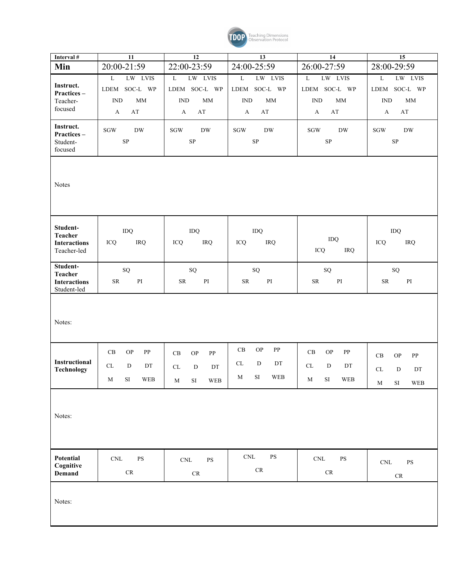

| Interval #                            | $\overline{11}$                              | 12                                                    | 13                                           | $\overline{14}$                              | $\overline{15}$                                         |
|---------------------------------------|----------------------------------------------|-------------------------------------------------------|----------------------------------------------|----------------------------------------------|---------------------------------------------------------|
| Min                                   | 20:00-21:59                                  | 22:00-23:59                                           | 24:00-25:59                                  | 26:00-27:59                                  | 28:00-29:59                                             |
|                                       | $\mathbf L$<br>LW LVIS                       | LW LVIS<br>$\mathbf L$                                | LW LVIS<br>$\overline{\mathbf{L}}$           | LW LVIS<br>$\mathbf L$                       | LW LVIS<br>L                                            |
| Instruct.<br>Practices-               | LDEM SOC-L WP                                | LDEM SOC-L WP                                         | LDEM SOC-L WP                                | LDEM SOC-L WP                                | LDEM SOC-L WP                                           |
| Teacher-                              | <b>IND</b><br>MM                             | $\mathop{\rm IND}\nolimits$<br>$\rm MM$               | $\mathbf{IND}$<br>MM                         | IND<br>$\rm MM$                              | $\mathop{\rm IND}\nolimits$<br>MM                       |
| focused                               | $\mathbf{A}\mathbf{T}$<br>A                  | $\mathbf{A}\mathbf{T}$<br>$\mathbf{A}$                | AT<br>$\mathbf{A}$                           | $\mathbf{A}\mathbf{T}$<br>A                  | $\mathbf{A}\mathbf{T}$<br>$\mathbf{A}$                  |
| Instruct.<br>Practices-               | $\rm SGW$<br><b>DW</b>                       | $\rm SGW$<br><b>DW</b>                                | <b>DW</b><br>SGW                             | <b>DW</b><br><b>SGW</b>                      | ${\rm DW}$<br>SGW                                       |
| Student-                              | ${\rm SP}$                                   | SP                                                    | ${\rm SP}$                                   | ${\rm SP}$                                   | ${\rm SP}$                                              |
| focused                               |                                              |                                                       |                                              |                                              |                                                         |
| Notes                                 |                                              |                                                       |                                              |                                              |                                                         |
| Student-                              | IDQ                                          | IDQ                                                   | IDQ                                          |                                              | IDQ                                                     |
| <b>Teacher</b><br><b>Interactions</b> | <b>IRQ</b><br>ICQ                            | ICQ<br>IRQ                                            | ICQ<br><b>IRQ</b>                            | IDQ                                          | ICQ<br>IRQ                                              |
| Teacher-led                           |                                              |                                                       |                                              | ICQ<br>IRQ                                   |                                                         |
| Student-                              | ${\rm SQ}$                                   | ${\bf SQ}$                                            | ${\rm SQ}$                                   | ${\rm SQ}$                                   | ${\rm SQ}$                                              |
| <b>Teacher</b><br><b>Interactions</b> | $\mathop{\rm PI}\nolimits$<br>${\rm SR}$     | ${\rm SR}$<br>PI                                      | ${\rm SR}$<br>$\mathbf{P}\mathbf{I}$         | ${\rm SR}$<br>$\mathbf{P}\mathbf{I}$         | ${\rm SR}$<br>PI                                        |
| Student-led                           |                                              |                                                       |                                              |                                              |                                                         |
| Notes:                                |                                              |                                                       |                                              |                                              |                                                         |
|                                       | CB<br><b>OP</b><br>PP                        | $\operatorname{CB}$<br><b>OP</b><br>PP                | $\mathbf{OP}$<br>$\operatorname{CB}$<br>PP   | $\mathcal{O}\mathcal{P}$<br>CB<br>PP         | $\mathbf{OP}$<br>CB<br>${\bf PP}$                       |
| Instructional<br><b>Technology</b>    | $\ensuremath{\textup{CL}}\xspace$<br>D<br>DT | ${\rm CL}$<br>${\bf D}$<br>DT                         | CL<br>${\bf D}$<br>DT                        | ${\rm CL}$<br>D<br>DT                        | ${\rm CL}$<br>$\mathbf D$<br>$\mathop{\rm DT}\nolimits$ |
|                                       | WEB<br>SI<br>M                               | SI<br>$\ensuremath{\mathsf{WEB}}$<br>M                | $\rm SI$<br>$\mathbf M$<br><b>WEB</b>        | WEB<br>SI<br>M                               | $\mathbf M$                                             |
| Notes:                                |                                              |                                                       |                                              |                                              | $\rm{SI}$<br>WEB                                        |
| Potential<br>Cognitive                | $\mathop{\rm CNL}\nolimits$<br>$\mathbf{PS}$ | $\mathop{\rm CNL}\nolimits$<br>$\mathbf{P}\mathbf{S}$ | $\mathop{\rm CNL}\nolimits$<br>$\mathbf{PS}$ | $\mathop{\rm CNL}\nolimits$<br>$\mathbf{PS}$ | $\mathbf{P}\mathbf{S}$<br>$\mathop{\rm CNL}\nolimits$   |
| Demand                                | $\mathrm{CR}$                                | $\ensuremath{\mathsf{CR}}$                            | $\rm CR$                                     | $\mathcal{C}\mathcal{R}$                     | $\mathrm{CR}$                                           |
| Notes:                                |                                              |                                                       |                                              |                                              |                                                         |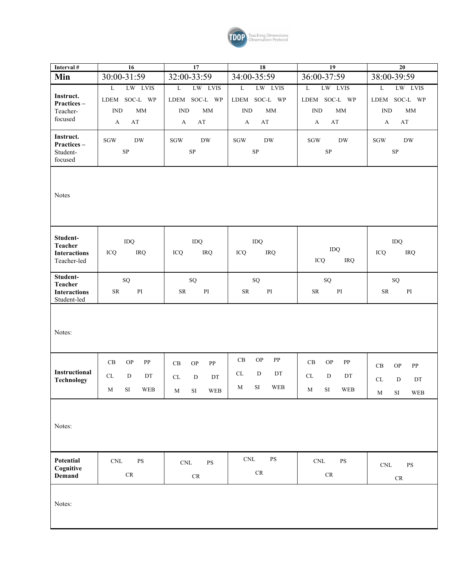

| Interval #                         | 16                                                   | 17                                                    | 18                                                 | 19                                                  | 20                                                    |
|------------------------------------|------------------------------------------------------|-------------------------------------------------------|----------------------------------------------------|-----------------------------------------------------|-------------------------------------------------------|
| Min                                | 30:00-31:59                                          | 32:00-33:59                                           | 34:00-35:59                                        | 36:00-37:59                                         | 38:00-39:59                                           |
|                                    | LW LVIS<br>$\mathbf L$                               | LW LVIS<br>L                                          | $\overline{\mathbf{L}}$<br>LW LVIS                 | LW LVIS<br>L                                        | LW LVIS<br>L                                          |
| Instruct.<br>Practices-            | LDEM SOC-L WP                                        | LDEM SOC-L WP                                         | SOC-L WP<br>LDEM                                   | LDEM SOC-L WP                                       | LDEM SOC-L WP                                         |
| Teacher-                           | $\mathop{\rm IND}\nolimits$<br>MM                    | <b>IND</b><br>MM                                      | $\mathop{\rm IND}\nolimits$<br>$\mathop{\rm MM}$   | $\mathop{\rm IND}\nolimits$<br>$\mathop{\rm MM}$    | <b>IND</b><br>MM                                      |
| focused                            | $\mathbf{A}\mathbf{T}$<br>A                          | $\mathbf{A}\mathbf{T}$<br>$\mathbf{A}$                | $\mathbf{A}\mathbf{T}$<br>$\mathbf{A}$             | $\mathbf{A}\mathbf{T}$<br>$\mathbf{A}$              | $\mathbf{A}\mathbf{T}$<br>$\mathbf{A}$                |
| Instruct.                          |                                                      |                                                       |                                                    |                                                     |                                                       |
| Practices-                         | <b>SGW</b><br><b>DW</b>                              | $\rm SGW$<br><b>DW</b>                                | $\rm SGW$<br><b>DW</b>                             | <b>DW</b><br>SGW                                    | ${\rm DW}$<br>SGW                                     |
| Student-<br>focused                | ${\rm SP}$                                           | ${\rm SP}$                                            | ${\rm SP}$                                         | ${\rm SP}$                                          | SP                                                    |
|                                    |                                                      |                                                       |                                                    |                                                     |                                                       |
|                                    |                                                      |                                                       |                                                    |                                                     |                                                       |
| <b>Notes</b>                       |                                                      |                                                       |                                                    |                                                     |                                                       |
|                                    |                                                      |                                                       |                                                    |                                                     |                                                       |
|                                    |                                                      |                                                       |                                                    |                                                     |                                                       |
|                                    |                                                      |                                                       |                                                    |                                                     |                                                       |
| Student-                           | IDQ                                                  | IDQ                                                   | IDQ                                                |                                                     | IDQ                                                   |
| <b>Teacher</b>                     | IRQ                                                  | ICQ<br>IRQ                                            | ICQ<br>IRQ                                         | IDQ                                                 | ICQ<br>IRQ                                            |
| <b>Interactions</b><br>Teacher-led | ICQ                                                  |                                                       |                                                    | ICQ<br>IRQ                                          |                                                       |
|                                    |                                                      |                                                       |                                                    |                                                     |                                                       |
| Student-<br><b>Teacher</b>         | ${\rm SQ}$                                           | SQ                                                    | ${\rm SQ}$                                         | ${\rm SQ}$                                          | SQ                                                    |
| <b>Interactions</b>                | $\mathbf{PI}$<br><b>SR</b>                           | PI<br><b>SR</b>                                       | $\mathbf{P}\mathbf{I}$<br><b>SR</b>                | $\mathbf{PI}$<br><b>SR</b>                          | $\mathbf{P}\mathbf{I}$<br><b>SR</b>                   |
| Student-led                        |                                                      |                                                       |                                                    |                                                     |                                                       |
|                                    |                                                      |                                                       |                                                    |                                                     |                                                       |
| Notes:                             |                                                      |                                                       |                                                    |                                                     |                                                       |
|                                    |                                                      |                                                       |                                                    |                                                     |                                                       |
|                                    |                                                      |                                                       |                                                    |                                                     |                                                       |
|                                    | $\operatorname{CB}$<br><b>OP</b><br>PP               | $\operatorname{CB}$<br><b>OP</b><br>PP                | $\mathbf{OP}$<br>$\operatorname{CB}$<br>${\bf PP}$ | CB<br><b>OP</b><br>PP                               | <b>OP</b><br>PP<br>CB                                 |
| Instructional                      | $\ensuremath{\mathrm{CL}}\xspace$<br>${\rm D}$<br>DT | CL<br>${\bf D}$<br>DT                                 | CL<br>D<br>DT                                      | CL<br>D<br>DT                                       | $\ensuremath{\textup{CL}}\xspace$<br>${\bf D}$<br>DT  |
| <b>Technology</b>                  | <b>WEB</b><br>M<br>SI –                              | $\ensuremath{\mathsf{WEB}}$<br>SI<br>M                | $\rm SI$<br>M<br><b>WEB</b>                        | SI.<br><b>WEB</b><br>M                              |                                                       |
|                                    |                                                      |                                                       |                                                    |                                                     | $\mathbf M$<br>$\rm SI$<br>WEB                        |
|                                    |                                                      |                                                       |                                                    |                                                     |                                                       |
|                                    |                                                      |                                                       |                                                    |                                                     |                                                       |
| Notes:                             |                                                      |                                                       |                                                    |                                                     |                                                       |
|                                    |                                                      |                                                       |                                                    |                                                     |                                                       |
| Potential                          |                                                      |                                                       | $\mathop{\rm CNL}\nolimits$<br>$\mathbf{PS}$       |                                                     |                                                       |
| Cognitive                          | $\mathop{\rm CNL}\nolimits$<br>$\mathbf{PS}$         | $\mathop{\rm CNL}\nolimits$<br>$\mathbf{P}\mathbf{S}$ |                                                    | $\ensuremath{\text{CNL}}$<br>$\mathbf{P}\mathbf{S}$ | $\mathop{\rm CNL}\nolimits$<br>$\mathbf{P}\mathbf{S}$ |
| Demand                             | $\ensuremath{\mathsf{CR}}$                           | $\mathrm{CR}$                                         | $\mathrm{CR}$                                      | $\mathcal{C}\mathcal{R}$                            | $\mathrm{CR}$                                         |
|                                    |                                                      |                                                       |                                                    |                                                     |                                                       |
| Notes:                             |                                                      |                                                       |                                                    |                                                     |                                                       |
|                                    |                                                      |                                                       |                                                    |                                                     |                                                       |
|                                    |                                                      |                                                       |                                                    |                                                     |                                                       |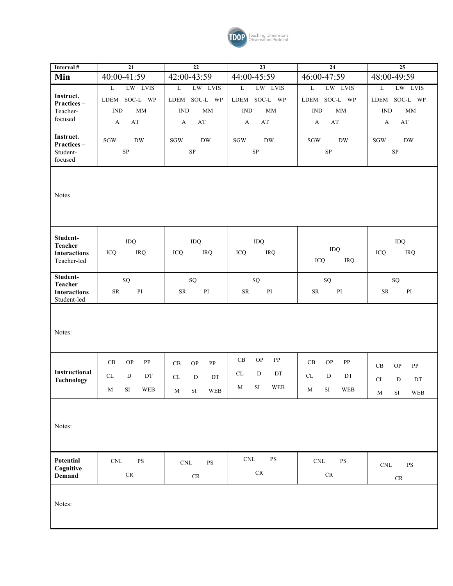

| Interval #                         | 21                                                            | 22                                                    | 23                                           | 24                                                            | 25                                               |
|------------------------------------|---------------------------------------------------------------|-------------------------------------------------------|----------------------------------------------|---------------------------------------------------------------|--------------------------------------------------|
| Min                                | 40:00-41:59                                                   | 42:00-43:59                                           | 44:00-45:59                                  | 46:00-47:59                                                   | 48:00-49:59                                      |
|                                    | LW LVIS<br>$\mathbf L$                                        | LW LVIS<br>$\overline{L}$                             | $\overline{\text{L}}$<br>LW LVIS             | LW LVIS<br>$\overline{\mathbf{L}}$                            | LW LVIS<br>L                                     |
| Instruct.<br>Practices-            | LDEM SOC-L WP                                                 | SOC-L WP<br>LDEM                                      | SOC-L WP<br>LDEM                             | SOC-L WP<br>LDEM                                              | LDEM SOC-L WP                                    |
| Teacher-                           | <b>IND</b><br><b>MM</b>                                       | <b>IND</b><br>$\mathop{\rm MM}$                       | $\mathop{\rm IND}\nolimits$<br>$\rm MM$      | <b>IND</b><br>$\mathop{\rm MM}$                               | $\mathop{\rm IND}\nolimits$<br>$\mathop{\rm MM}$ |
| focused                            | $\mathbf{A}\mathbf{T}$<br>A                                   | $\mathbf{A}\mathbf{T}$<br>A                           | $\mathbf{A}\mathbf{T}$<br>$\mathbf{A}$       | $\mathbf{A}\mathbf{T}$<br>A                                   | $\mathbf{A}\mathbf{T}$<br>$\mathbf{A}$           |
| Instruct.                          | $\rm SGW$<br><b>DW</b>                                        | $\rm SGW$<br><b>DW</b>                                | $\rm SGW$<br><b>DW</b>                       | $\rm SGW$<br><b>DW</b>                                        | SGW<br>${\rm DW}$                                |
| Practices-<br>Student-             | ${\rm SP}$                                                    | ${\rm SP}$                                            | ${\rm SP}$                                   | ${\rm SP}$                                                    | ${\rm SP}$                                       |
| focused                            |                                                               |                                                       |                                              |                                                               |                                                  |
| Notes                              |                                                               |                                                       |                                              |                                                               |                                                  |
| Student-                           |                                                               |                                                       |                                              |                                                               |                                                  |
| <b>Teacher</b>                     | IDQ                                                           | IDQ                                                   | IDQ                                          | IDQ                                                           | IDQ                                              |
| <b>Interactions</b><br>Teacher-led | ICQ<br>IRQ                                                    | ICQ<br><b>IRQ</b>                                     | ICQ<br>IRQ                                   | ICQ<br><b>IRQ</b>                                             | IRQ<br>ICQ                                       |
| Student-                           |                                                               |                                                       |                                              |                                                               |                                                  |
| <b>Teacher</b>                     | SQ                                                            | SQ                                                    | ${\rm SQ}$                                   | ${\rm SQ}$                                                    | ${\rm SQ}$                                       |
| <b>Interactions</b><br>Student-led | $\mathbf{P}\mathbf{I}$<br>${\rm SR}$                          | $\mathbf{P}\mathbf{I}$<br>${\rm SR}$                  | ${\rm SR}$<br>$\mathbf{P}\mathbf{I}$         | $\mathbf{P}\mathbf{I}$<br>${\rm SR}$                          | $\mathbf{P}\mathbf{I}$<br>${\rm SR}$             |
| Notes:                             |                                                               |                                                       |                                              |                                                               |                                                  |
|                                    | $\operatorname{CB}$<br>$\mathcal{O}\mathcal{P}$<br>${\bf PP}$ | $\operatorname{CB}$<br><b>OP</b><br>PP                | OP<br>$\operatorname{CB}$<br>PP              | $\operatorname{CB}$<br>$\mathcal{O}\mathcal{P}$<br>${\bf PP}$ | $\mathbf{OP}$<br>CB<br>${\bf PP}$                |
| Instructional                      | $\ensuremath{\textup{CL}}\xspace$<br>D<br>DT                  | CL<br>${\bf D}$<br>DT                                 | CL<br>${\rm D}$<br>DT                        | CL<br>D<br>DT                                                 |                                                  |
| Technology                         | M                                                             |                                                       | $\mathbf M$<br>SI<br><b>WEB</b>              |                                                               | ${\bf D}$<br>CL<br>DT                            |
|                                    | ${\rm SI}$<br>WEB                                             | WEB<br>SI<br>$\mathbf{M}$                             |                                              | $\rm SI$<br>WEB<br>M                                          | $\mathbf M$<br>SI<br>$\ensuremath{\mathsf{WEB}}$ |
| Notes:                             |                                                               |                                                       |                                              |                                                               |                                                  |
| Potential                          | $\mathop{\rm CNL}\nolimits$<br>$\mathbf{PS}$                  | $\mathop{\rm CNL}\nolimits$<br>$\mathbf{P}\mathbf{S}$ | $\mathop{\rm CNL}\nolimits$<br>$\mathbf{PS}$ | $\mathop{\rm CNL}\nolimits$<br>$\mathbf{PS}$                  | $\mathbf{PS}$<br>$\mathop{\rm CNL}\nolimits$     |
| Cognitive<br>Demand                | $\mathrm{CR}$                                                 | $\mathrm{CR}$                                         | $\mathrm{CR}$                                | $\mathrm{CR}$                                                 |                                                  |
|                                    |                                                               |                                                       |                                              |                                                               | $\mathrm{CR}$                                    |
| Notes:                             |                                                               |                                                       |                                              |                                                               |                                                  |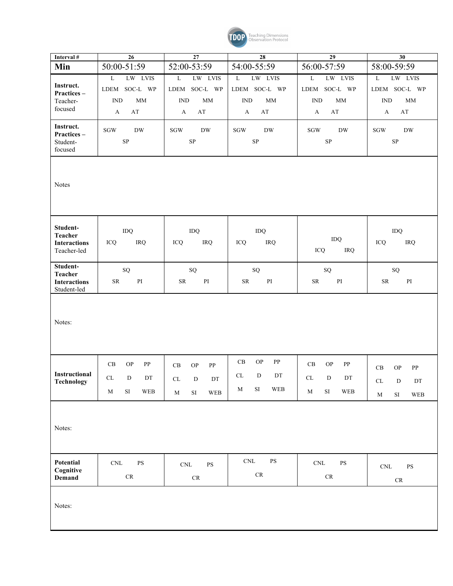

| Interval #                                                | 26                                                                                                                      | 27                                                                                                                                                                                                 | 28                                                                                             | $\overline{29}$                                                                                                                  | 30                                                                                    |
|-----------------------------------------------------------|-------------------------------------------------------------------------------------------------------------------------|----------------------------------------------------------------------------------------------------------------------------------------------------------------------------------------------------|------------------------------------------------------------------------------------------------|----------------------------------------------------------------------------------------------------------------------------------|---------------------------------------------------------------------------------------|
| Min                                                       | 50:00-51:59                                                                                                             | 52:00-53:59                                                                                                                                                                                        | 54:00-55:59                                                                                    | 56:00-57:59                                                                                                                      | 58:00-59:59                                                                           |
| Instruct.<br>Practices-<br>Teacher-<br>focused            | LW LVIS<br>$\mathbf L$<br>LDEM SOC-L WP<br><b>IND</b><br><b>MM</b><br>A<br>AT                                           | $\overline{\mathbf{L}}$<br>LW LVIS<br>LDEM SOC-L WP<br>$\mathbf{IND}$<br><b>MM</b><br>$\mathbf{A}\mathbf{T}$<br>A                                                                                  | LW LVIS<br>$\mathbf L$<br>LDEM SOC-L WP<br>$\mathbf{IND}$<br>MM<br>$\mathbf{A}\mathbf{T}$<br>A | $\mathbf L$<br>LW LVIS<br>LDEM SOC-L WP<br><b>IND</b><br>MM<br>$\mathbf{A}$<br>AT                                                | LW LVIS<br>$\mathbf L$<br>LDEM SOC-L WP<br>MM<br><b>IND</b><br>$\mathbf{A}$<br>AT     |
| Instruct.<br>Practices-<br>Student-<br>focused            | <b>DW</b><br>$\rm SGW$<br>${\rm SP}$                                                                                    | $\rm SGW$<br><b>DW</b><br>${\bf SP}$                                                                                                                                                               | <b>DW</b><br><b>SGW</b><br>$\rm SP$                                                            | ${\rm DW}$<br>$\rm SGW$<br>SP                                                                                                    | $\mathbf{D}\mathbf{W}$<br>SGW<br>${\rm SP}$                                           |
| Notes                                                     |                                                                                                                         |                                                                                                                                                                                                    |                                                                                                |                                                                                                                                  |                                                                                       |
| Student-<br>Teacher<br><b>Interactions</b><br>Teacher-led | IDQ<br>IRQ<br>ICQ                                                                                                       | IDQ<br>ICQ<br><b>IRQ</b>                                                                                                                                                                           | IDQ<br>IRQ<br>ICQ                                                                              | $\rm IDQ$<br>ICQ<br>IRQ                                                                                                          | IDQ<br>ICQ<br>IRQ                                                                     |
| Student-<br>Teacher<br><b>Interactions</b><br>Student-led | SQ<br>$\mathbf{P}\mathbf{I}$<br><b>SR</b>                                                                               | ${\rm SQ}$<br>$\mathbf{P}\mathbf{I}$<br><b>SR</b>                                                                                                                                                  | ${\bf SQ}$<br>$\mathbf{P}\mathbf{I}$<br><b>SR</b>                                              | ${\rm SQ}$<br>$\mathop{\rm PI}\nolimits$<br><b>SR</b>                                                                            | ${\bf SQ}$<br>$\mathop{\rm PI}\nolimits$<br><b>SR</b>                                 |
| Notes:                                                    |                                                                                                                         |                                                                                                                                                                                                    |                                                                                                |                                                                                                                                  |                                                                                       |
| Instructional<br>Technology                               | $\operatorname{CB}$<br><b>OP</b><br>${\bf PP}$<br>CL<br>${\bf D}$<br>$\mathop{\rm DT}\nolimits$<br>$\rm SI$<br>WEB<br>M | $\mathbf{OP}$<br>${\bf PP}$<br>$\operatorname{CB}$<br>$\mathop{\rm DT}\nolimits$<br>CL.<br>D<br>$\rm SI$<br>$\ensuremath{\mathbf{W}}\ensuremath{\mathbf{E}}\ensuremath{\mathbf{B}}$<br>$\mathbf M$ | <b>OP</b><br>CB<br>PP<br>CL<br>${\rm D}$<br>DT<br>$\rm{SI}$<br>WEB<br>M                        | $\operatorname{CB}$<br><b>OP</b><br>PP<br>$\ensuremath{\textup{CL}}\xspace$<br>${\rm D}$<br>DT<br>$\mathbf M$<br>$\rm SI$<br>WEB | $\rm CB$<br><b>OP</b><br>${\bf PP}$<br>$CL$ D<br>DT<br>$\rm SI$<br>$\mathbf M$<br>WEB |
| Notes:                                                    |                                                                                                                         |                                                                                                                                                                                                    |                                                                                                |                                                                                                                                  |                                                                                       |
| Potential<br>Cognitive<br>Demand                          | $\mathbf{P}\mathbf{S}$<br>$\mathop{\rm CNL}\nolimits$<br>${\cal CR}$                                                    | $\mathop{\rm CNL}\nolimits$<br><b>PS</b><br>${\sf CR}$                                                                                                                                             | $\ensuremath{\mathrm{CNL}}$<br>$\mathbf{P}\mathbf{S}$<br>${\cal CR}$                           | $\mathop{\rm CNL}\nolimits$<br>$\mathbf{PS}$<br>${\sf CR}$                                                                       | $\mathbf{P}\mathbf{S}$<br>$\mathop{\rm CNL}\nolimits$<br>${\cal CR}$                  |
| Notes:                                                    |                                                                                                                         |                                                                                                                                                                                                    |                                                                                                |                                                                                                                                  |                                                                                       |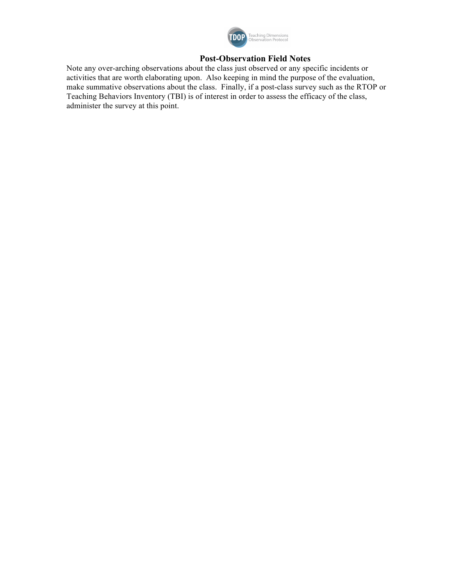

# **Post-Observation Field Notes**

Note any over-arching observations about the class just observed or any specific incidents or activities that are worth elaborating upon. Also keeping in mind the purpose of the evaluation, make summative observations about the class. Finally, if a post-class survey such as the RTOP or Teaching Behaviors Inventory (TBI) is of interest in order to assess the efficacy of the class, administer the survey at this point.